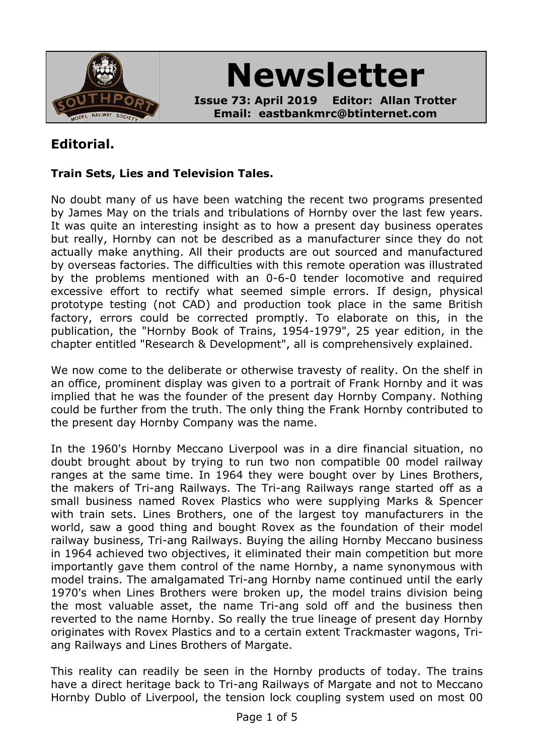

**Newsletter**

**Issue 73: April 2019 Editor: Allan Trotter Email: eastbankmrc@btinternet.com**

# **Editorial.**

### **Train Sets, Lies and Television Tales.**

No doubt many of us have been watching the recent two programs presented by James May on the trials and tribulations of Hornby over the last few years. It was quite an interesting insight as to how a present day business operates but really, Hornby can not be described as a manufacturer since they do not actually make anything. All their products are out sourced and manufactured by overseas factories. The difficulties with this remote operation was illustrated by the problems mentioned with an 0-6-0 tender locomotive and required excessive effort to rectify what seemed simple errors. If design, physical prototype testing (not CAD) and production took place in the same British factory, errors could be corrected promptly. To elaborate on this, in the publication, the "Hornby Book of Trains, 1954-1979", 25 year edition, in the chapter entitled "Research & Development", all is comprehensively explained.

We now come to the deliberate or otherwise travesty of reality. On the shelf in an office, prominent display was given to a portrait of Frank Hornby and it was implied that he was the founder of the present day Hornby Company. Nothing could be further from the truth. The only thing the Frank Hornby contributed to the present day Hornby Company was the name.

In the 1960's Hornby Meccano Liverpool was in a dire financial situation, no doubt brought about by trying to run two non compatible 00 model railway ranges at the same time. In 1964 they were bought over by Lines Brothers, the makers of Tri-ang Railways. The Tri-ang Railways range started off as a small business named Rovex Plastics who were supplying Marks & Spencer with train sets. Lines Brothers, one of the largest toy manufacturers in the world, saw a good thing and bought Rovex as the foundation of their model railway business, Tri-ang Railways. Buying the ailing Hornby Meccano business in 1964 achieved two objectives, it eliminated their main competition but more importantly gave them control of the name Hornby, a name synonymous with model trains. The amalgamated Tri-ang Hornby name continued until the early 1970's when Lines Brothers were broken up, the model trains division being the most valuable asset, the name Tri-ang sold off and the business then reverted to the name Hornby. So really the true lineage of present day Hornby originates with Rovex Plastics and to a certain extent Trackmaster wagons, Triang Railways and Lines Brothers of Margate.

This reality can readily be seen in the Hornby products of today. The trains have a direct heritage back to Tri-ang Railways of Margate and not to Meccano Hornby Dublo of Liverpool, the tension lock coupling system used on most 00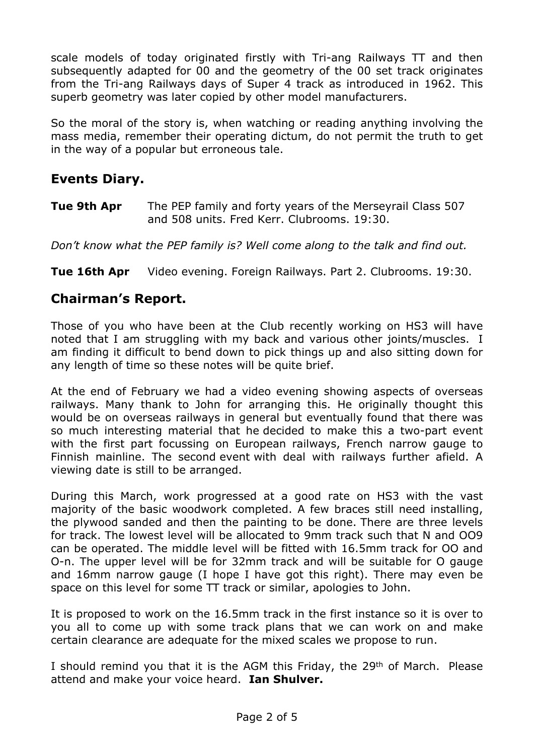scale models of today originated firstly with Tri-ang Railways TT and then subsequently adapted for 00 and the geometry of the 00 set track originates from the Tri-ang Railways days of Super 4 track as introduced in 1962. This superb geometry was later copied by other model manufacturers.

So the moral of the story is, when watching or reading anything involving the mass media, remember their operating dictum, do not permit the truth to get in the way of a popular but erroneous tale.

# **Events Diary.**

**Tue 9th Apr** The PEP family and forty years of the Merseyrail Class 507 and 508 units. Fred Kerr. Clubrooms. 19:30.

*Don't know what the PEP family is? Well come along to the talk and find out.*

**Tue 16th Apr** Video evening. Foreign Railways. Part 2. Clubrooms. 19:30.

### **Chairman's Report.**

Those of you who have been at the Club recently working on HS3 will have noted that I am struggling with my back and various other joints/muscles. I am finding it difficult to bend down to pick things up and also sitting down for any length of time so these notes will be quite brief.

At the end of February we had a video evening showing aspects of overseas railways. Many thank to John for arranging this. He originally thought this would be on overseas railways in general but eventually found that there was so much interesting material that he decided to make this a two-part event with the first part focussing on European railways, French narrow gauge to Finnish mainline. The second event with deal with railways further afield. A viewing date is still to be arranged.

During this March, work progressed at a good rate on HS3 with the vast majority of the basic woodwork completed. A few braces still need installing, the plywood sanded and then the painting to be done. There are three levels for track. The lowest level will be allocated to 9mm track such that N and OO9 can be operated. The middle level will be fitted with 16.5mm track for OO and O-n. The upper level will be for 32mm track and will be suitable for O gauge and 16mm narrow gauge (I hope I have got this right). There may even be space on this level for some TT track or similar, apologies to John.

It is proposed to work on the 16.5mm track in the first instance so it is over to you all to come up with some track plans that we can work on and make certain clearance are adequate for the mixed scales we propose to run.

I should remind you that it is the AGM this Friday, the 29<sup>th</sup> of March. Please attend and make your voice heard. **Ian Shulver.**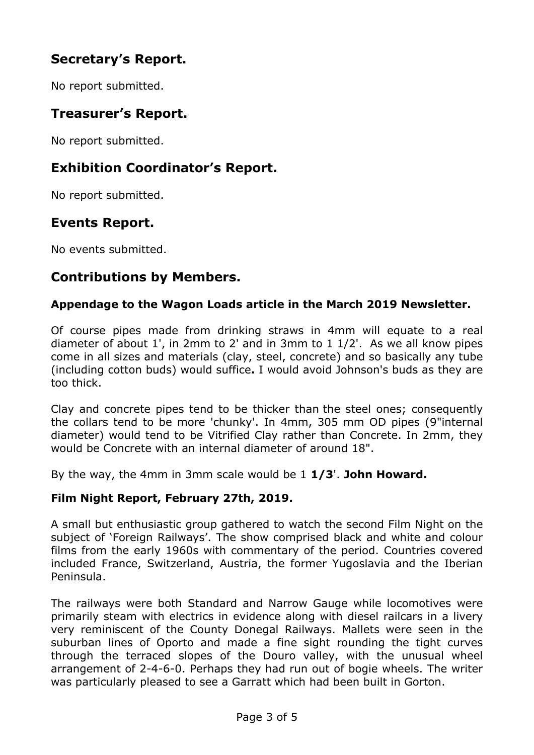# **Secretary's Report.**

No report submitted.

# **Treasurer's Report.**

No report submitted.

## **Exhibition Coordinator's Report.**

No report submitted.

### **Events Report.**

No events submitted.

## **Contributions by Members.**

#### **Appendage to the Wagon Loads article in the March 2019 Newsletter.**

Of course pipes made from drinking straws in 4mm will equate to a real diameter of about 1', in 2mm to 2' and in 3mm to 1 1/2'. As we all know pipes come in all sizes and materials (clay, steel, concrete) and so basically any tube (including cotton buds) would suffice**.** I would avoid Johnson's buds as they are too thick.

Clay and concrete pipes tend to be thicker than the steel ones; consequently the collars tend to be more 'chunky'. In 4mm, 305 mm OD pipes (9"internal diameter) would tend to be Vitrified Clay rather than Concrete. In 2mm, they would be Concrete with an internal diameter of around 18".

By the way, the 4mm in 3mm scale would be 1 **1/3**'. **John Howard.**

### **Film Night Report, February 27th, 2019.**

A small but enthusiastic group gathered to watch the second Film Night on the subject of 'Foreign Railways'. The show comprised black and white and colour films from the early 1960s with commentary of the period. Countries covered included France, Switzerland, Austria, the former Yugoslavia and the Iberian Peninsula.

The railways were both Standard and Narrow Gauge while locomotives were primarily steam with electrics in evidence along with diesel railcars in a livery very reminiscent of the County Donegal Railways. Mallets were seen in the suburban lines of Oporto and made a fine sight rounding the tight curves through the terraced slopes of the Douro valley, with the unusual wheel arrangement of 2-4-6-0. Perhaps they had run out of bogie wheels. The writer was particularly pleased to see a Garratt which had been built in Gorton.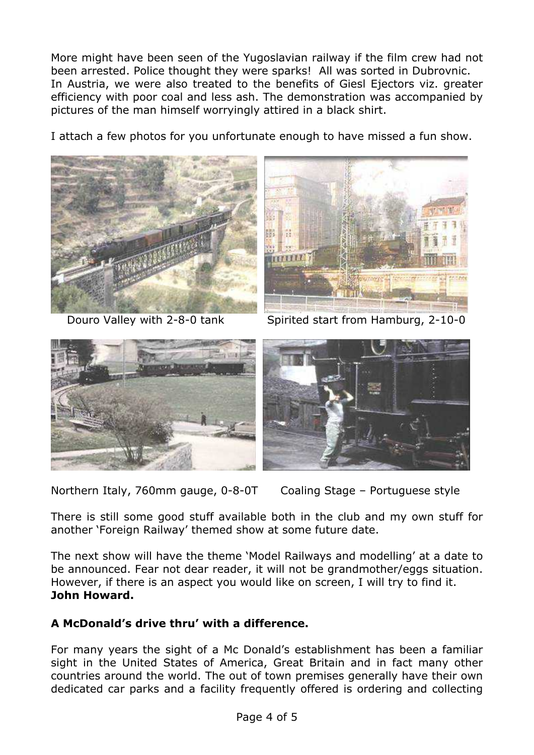More might have been seen of the Yugoslavian railway if the film crew had not been arrested. Police thought they were sparks! All was sorted in Dubrovnic. In Austria, we were also treated to the benefits of Giesl Ejectors viz. greater efficiency with poor coal and less ash. The demonstration was accompanied by pictures of the man himself worryingly attired in a black shirt.

I attach a few photos for you unfortunate enough to have missed a fun show.





Douro Valley with 2-8-0 tank Spirited start from Hamburg, 2-10-0



Northern Italy, 760mm gauge, 0-8-0T Coaling Stage – Portuguese style



There is still some good stuff available both in the club and my own stuff for another 'Foreign Railway' themed show at some future date.

The next show will have the theme 'Model Railways and modelling' at a date to be announced. Fear not dear reader, it will not be grandmother/eggs situation. However, if there is an aspect you would like on screen, I will try to find it. **John Howard.**

### **A McDonald's drive thru' with a difference.**

For many years the sight of a Mc Donald's establishment has been a familiar sight in the United States of America, Great Britain and in fact many other countries around the world. The out of town premises generally have their own dedicated car parks and a facility frequently offered is ordering and collecting